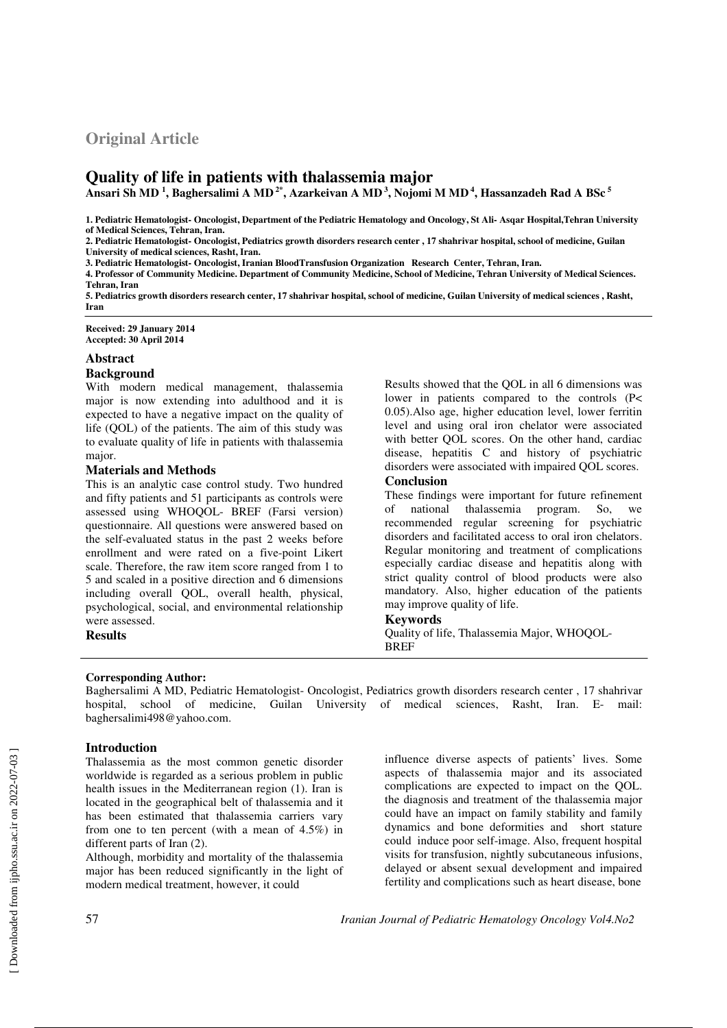# **Original Article**

# **Quality of life in patients with thalassemia major**

**Ansari Sh MD <sup>1</sup> , Baghersalimi A MD 2\*, Azarkeivan A MD<sup>3</sup>, Nojomi M MD<sup>4</sup>, Hassanzadeh Rad A BSc<sup>5</sup>**

**1. Pediatric Hematologist- Oncologist, Department of the Pediatric Hematology and Oncology, St Ali- Asqar Hospital,Tehran University of Medical Sciences, Tehran, Iran.** 

**2. Pediatric Hematologist- Oncologist, Pediatrics growth disorders research center , 17 shahrivar hospital, school of medicine, Guilan University of medical sciences, Rasht, Iran.** 

**3. Pediatric Hematologist- Oncologist, Iranian BloodTransfusion Organization Research Center, Tehran, Iran.** 

**4. Professor of Community Medicine. Department of Community Medicine, School of Medicine, Tehran University of Medical Sciences. Tehran, Iran** 

**5. Pediatrics growth disorders research center, 17 shahrivar hospital, school of medicine, Guilan University of medical sciences , Rasht, Iran** 

**Received: 29 January 2014 Accepted: 30 April 2014** 

#### **Abstract**

#### **Background**

With modern medical management, thalassemia major is now extending into adulthood and it is expected to have a negative impact on the quality of life (QOL) of the patients. The aim of this study was to evaluate quality of life in patients with thalassemia major.

#### **Materials and Methods**

This is an analytic case control study. Two hundred and fifty patients and 51 participants as controls were assessed using WHOQOL- BREF (Farsi version) questionnaire. All questions were answered based on the self-evaluated status in the past 2 weeks before enrollment and were rated on a five-point Likert scale. Therefore, the raw item score ranged from 1 to 5 and scaled in a positive direction and 6 dimensions including overall QOL, overall health, physical, psychological, social, and environmental relationship were assessed. **Results** 

Results showed that the QOL in all 6 dimensions was lower in patients compared to the controls (P< 0.05).Also age, higher education level, lower ferritin level and using oral iron chelator were associated with better QOL scores. On the other hand, cardiac disease, hepatitis C and history of psychiatric disorders were associated with impaired QOL scores.

#### **Conclusion**

These findings were important for future refinement of national thalassemia program. So, we recommended regular screening for psychiatric disorders and facilitated access to oral iron chelators. Regular monitoring and treatment of complications especially cardiac disease and hepatitis along with strict quality control of blood products were also mandatory. Also, higher education of the patients may improve quality of life.

# **Keywords**

Quality of life, Thalassemia Major, WHOQOL-BREF

#### **Corresponding Author:**

Baghersalimi A MD, Pediatric Hematologist- Oncologist, Pediatrics growth disorders research center , 17 shahrivar hospital, school of medicine, Guilan University of medical sciences, Rasht, Iran. E- mail: baghersalimi498@yahoo.com.

#### **Introduction**

Thalassemia as the most common genetic disorder worldwide is regarded as a serious problem in public health issues in the Mediterranean region (1). Iran is located in the geographical belt of thalassemia and it has been estimated that thalassemia carriers vary from one to ten percent (with a mean of 4.5%) in different parts of Iran (2).

Although, morbidity and mortality of the thalassemia major has been reduced significantly in the light of modern medical treatment, however, it could

influence diverse aspects of patients' lives. Some aspects of thalassemia major and its associated complications are expected to impact on the QOL. the diagnosis and treatment of the thalassemia major could have an impact on family stability and family dynamics and bone deformities and short stature could induce poor self-image. Also, frequent hospital visits for transfusion, nightly subcutaneous infusions, delayed or absent sexual development and impaired fertility and complications such as heart disease, bone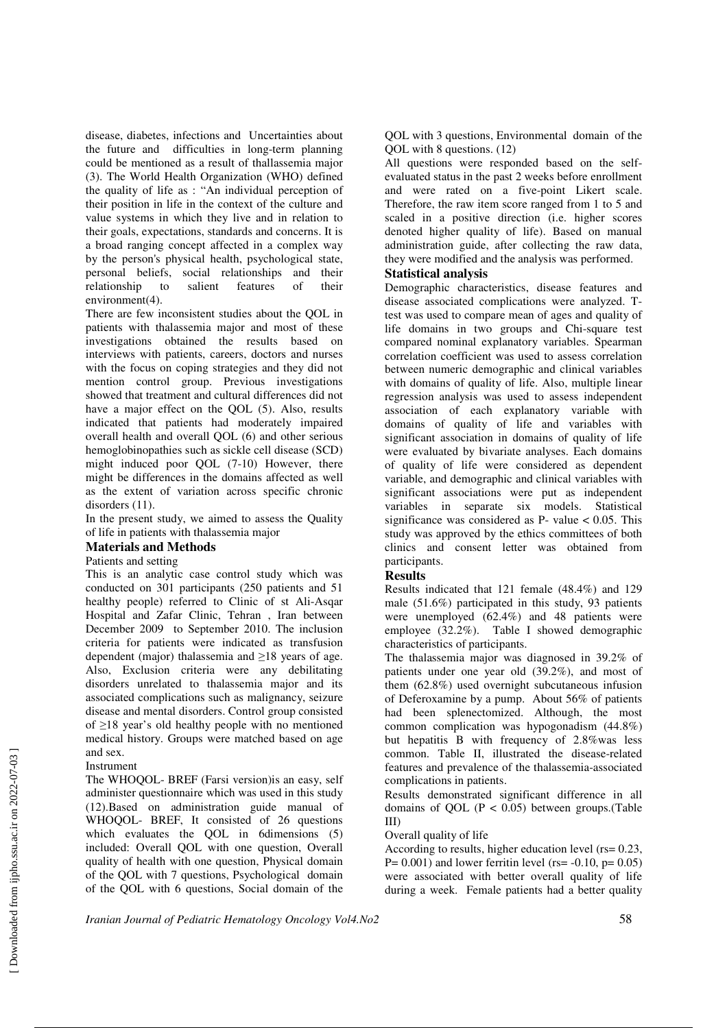disease, diabetes, infections and Uncertainties about the future and difficulties in long-term planning could be mentioned as a result of thallassemia major (3). The World Health Organization (WHO) defined the quality of life as : "An individual perception of their position in life in the context of the culture and value systems in which they live and in relation to their goals, expectations, standards and concerns. It is a broad ranging concept affected in a complex way by the person's physical health, psychological state, personal beliefs, social relationships and their relationship to salient features of their environment(4).

There are few inconsistent studies about the QOL in patients with thalassemia major and most of these investigations obtained the results based on interviews with patients, careers, doctors and nurses with the focus on coping strategies and they did not mention control group. Previous investigations showed that treatment and cultural differences did not have a major effect on the QOL (5). Also, results indicated that patients had moderately impaired overall health and overall QOL (6) and other serious hemoglobinopathies such as sickle cell disease (SCD) might induced poor QOL (7-10) However, there might be differences in the domains affected as well as the extent of variation across specific chronic disorders  $(11)$ .

In the present study, we aimed to assess the Quality of life in patients with thalassemia major

# **Materials and Methods**

#### Patients and setting

This is an analytic case control study which was conducted on 301 participants (250 patients and 51 healthy people) referred to Clinic of st Ali-Asqar Hospital and Zafar Clinic, Tehran , Iran between December 2009 to September 2010. The inclusion criteria for patients were indicated as transfusion dependent (major) thalassemia and  $\geq$ 18 years of age. Also, Exclusion criteria were any debilitating disorders unrelated to thalassemia major and its associated complications such as malignancy, seizure disease and mental disorders. Control group consisted of ≥18 year's old healthy people with no mentioned medical history. Groups were matched based on age and sex.

#### Instrument

The WHOQOL- BREF (Farsi version)is an easy, self administer questionnaire which was used in this study (12).Based on administration guide manual of WHOQOL- BREF, It consisted of 26 questions which evaluates the QOL in 6dimensions (5) included: Overall QOL with one question, Overall quality of health with one question, Physical domain of the QOL with 7 questions, Psychological domain of the QOL with 6 questions, Social domain of the

QOL with 3 questions, Environmental domain of the QOL with 8 questions. (12)

All questions were responded based on the selfevaluated status in the past 2 weeks before enrollment and were rated on a five-point Likert scale. Therefore, the raw item score ranged from 1 to 5 and scaled in a positive direction (i.e. higher scores denoted higher quality of life). Based on manual administration guide, after collecting the raw data, they were modified and the analysis was performed.

#### **Statistical analysis**

Demographic characteristics, disease features and disease associated complications were analyzed. Ttest was used to compare mean of ages and quality of life domains in two groups and Chi-square test compared nominal explanatory variables. Spearman correlation coefficient was used to assess correlation between numeric demographic and clinical variables with domains of quality of life. Also, multiple linear regression analysis was used to assess independent association of each explanatory variable with domains of quality of life and variables with significant association in domains of quality of life were evaluated by bivariate analyses. Each domains of quality of life were considered as dependent variable, and demographic and clinical variables with significant associations were put as independent variables in separate six models. Statistical significance was considered as  $P-$  value  $< 0.05$ . This study was approved by the ethics committees of both clinics and consent letter was obtained from participants.

#### **Results**

Results indicated that 121 female (48.4%) and 129 male (51.6%) participated in this study, 93 patients were unemployed (62.4%) and 48 patients were employee (32.2%). Table I showed demographic characteristics of participants.

The thalassemia major was diagnosed in 39.2% of patients under one year old (39.2%), and most of them (62.8%) used overnight subcutaneous infusion of Deferoxamine by a pump. About 56% of patients had been splenectomized. Although, the most common complication was hypogonadism (44.8%) but hepatitis B with frequency of 2.8%was less common. Table II, illustrated the disease-related features and prevalence of the thalassemia-associated complications in patients.

Results demonstrated significant difference in all domains of QOL ( $P < 0.05$ ) between groups.(Table III)

#### Overall quality of life

According to results, higher education level (rs= 0.23,  $P= 0.001$ ) and lower ferritin level (rs= -0.10, p= 0.05) were associated with better overall quality of life during a week. Female patients had a better quality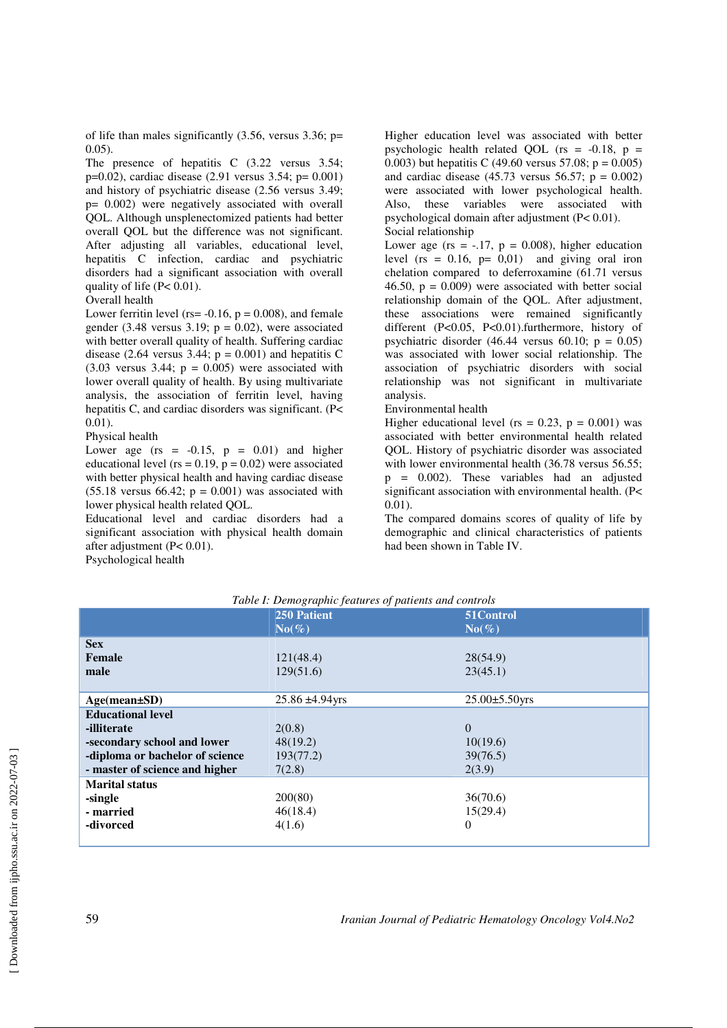of life than males significantly  $(3.56,$  versus  $3.36;$  p= 0.05).

The presence of hepatitis C  $(3.22 \text{ versus } 3.54;$ p=0.02), cardiac disease (2.91 versus 3.54; p= 0.001) and history of psychiatric disease (2.56 versus 3.49; p= 0.002) were negatively associated with overall QOL. Although unsplenectomized patients had better overall QOL but the difference was not significant. After adjusting all variables, educational level, hepatitis C infection, cardiac and psychiatric disorders had a significant association with overall quality of life (P< 0.01).

#### Overall health

Lower ferritin level (rs=  $-0.16$ ,  $p = 0.008$ ), and female gender (3.48 versus 3.19;  $p = 0.02$ ), were associated with better overall quality of health. Suffering cardiac disease (2.64 versus  $3.44$ ; p = 0.001) and hepatitis C  $(3.03$  versus  $3.44$ ;  $p = 0.005$ ) were associated with lower overall quality of health. By using multivariate analysis, the association of ferritin level, having hepatitis C, and cardiac disorders was significant. (P< 0.01).

#### Physical health

Lower age ( $rs = -0.15$ ,  $p = 0.01$ ) and higher educational level ( $rs = 0.19$ ,  $p = 0.02$ ) were associated with better physical health and having cardiac disease  $(55.18$  versus 66.42;  $p = 0.001$ ) was associated with lower physical health related QOL.

Educational level and cardiac disorders had a significant association with physical health domain after adjustment (P< 0.01). Psychological health

Higher education level was associated with better psychologic health related QOL ( $rs = -0.18$ ,  $p =$ 0.003) but hepatitis C (49.60 versus 57.08; p = 0.005) and cardiac disease  $(45.73 \text{ versus } 56.57; \text{ p} = 0.002)$ were associated with lower psychological health. Also, these variables were associated with psychological domain after adjustment (P< 0.01). Social relationship

Lower age (rs =  $-.17$ , p = 0.008), higher education level ( $rs = 0.16$ ,  $p = 0.01$ ) and giving oral iron chelation compared to deferroxamine (61.71 versus 46.50,  $p = 0.009$ ) were associated with better social relationship domain of the QOL. After adjustment, these associations were remained significantly different (P<0.05, P<0.01).furthermore, history of psychiatric disorder (46.44 versus 60.10;  $p = 0.05$ ) was associated with lower social relationship. The association of psychiatric disorders with social relationship was not significant in multivariate analysis.

#### Environmental health

Higher educational level (rs =  $0.23$ , p =  $0.001$ ) was associated with better environmental health related QOL. History of psychiatric disorder was associated with lower environmental health (36.78 versus 56.55;  $p = 0.002$ ). These variables had an adjusted significant association with environmental health. (P< 0.01).

The compared domains scores of quality of life by demographic and clinical characteristics of patients had been shown in Table IV.

| Table I: Demographic features of patients and controls |                      |                      |  |  |  |
|--------------------------------------------------------|----------------------|----------------------|--|--|--|
|                                                        | <b>250 Patient</b>   | 51Control            |  |  |  |
|                                                        | $No(\%)$             | $No(\%)$             |  |  |  |
| <b>Sex</b>                                             |                      |                      |  |  |  |
| Female                                                 | 121(48.4)            | 28(54.9)             |  |  |  |
| male                                                   | 129(51.6)            | 23(45.1)             |  |  |  |
|                                                        |                      |                      |  |  |  |
| $Age(mean \pm SD)$                                     | $25.86 \pm 4.94$ yrs | $25.00 \pm 5.50$ yrs |  |  |  |
| <b>Educational level</b>                               |                      |                      |  |  |  |
| -illiterate                                            | 2(0.8)               | $\Omega$             |  |  |  |
| -secondary school and lower                            | 48(19.2)             | 10(19.6)             |  |  |  |
| -diploma or bachelor of science                        | 193(77.2)            | 39(76.5)             |  |  |  |
| - master of science and higher                         | 7(2.8)               | 2(3.9)               |  |  |  |
| <b>Marital status</b>                                  |                      |                      |  |  |  |
| -single                                                | 200(80)              | 36(70.6)             |  |  |  |
| - married                                              | 46(18.4)             | 15(29.4)             |  |  |  |
| -divorced                                              | 4(1.6)               | $\Omega$             |  |  |  |
|                                                        |                      |                      |  |  |  |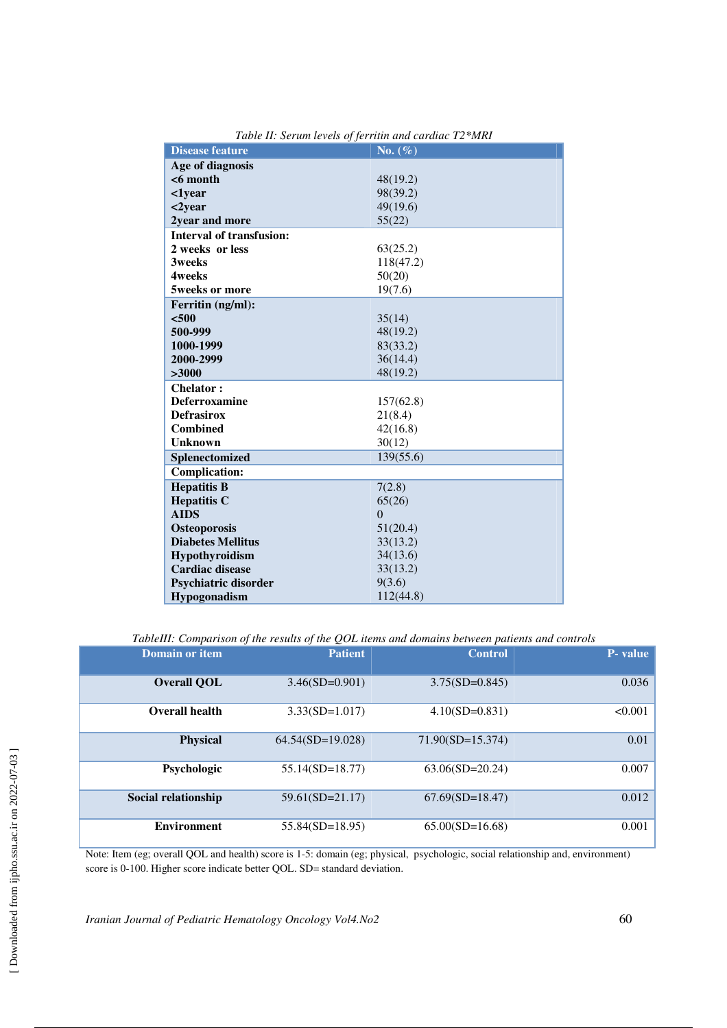| <b>Disease feature</b>          | No. $(\%)$ |
|---------------------------------|------------|
| Age of diagnosis                |            |
| $<$ 6 month                     | 48(19.2)   |
| $1year$                         | 98(39.2)   |
| <2year                          | 49(19.6)   |
| 2year and more                  | 55(22)     |
| <b>Interval of transfusion:</b> |            |
| 2 weeks or less                 | 63(25.2)   |
| <b>3weeks</b>                   | 118(47.2)  |
| <b>4weeks</b>                   | 50(20)     |
| 5weeks or more                  | 19(7.6)    |
| Ferritin (ng/ml):               |            |
| < 500                           | 35(14)     |
| 500-999                         | 48(19.2)   |
| 1000-1999                       | 83(33.2)   |
| 2000-2999                       | 36(14.4)   |
| >3000                           | 48(19.2)   |
| <b>Chelator:</b>                |            |
| <b>Deferroxamine</b>            | 157(62.8)  |
| <b>Defrasirox</b>               | 21(8.4)    |
| <b>Combined</b>                 | 42(16.8)   |
| <b>Unknown</b>                  | 30(12)     |
| Splenectomized                  | 139(55.6)  |
| <b>Complication:</b>            |            |
| <b>Hepatitis B</b>              | 7(2.8)     |
| <b>Hepatitis C</b>              | 65(26)     |
| <b>AIDS</b>                     | $\theta$   |
| <b>Osteoporosis</b>             | 51(20.4)   |
| <b>Diabetes Mellitus</b>        | 33(13.2)   |
| Hypothyroidism                  | 34(13.6)   |
| <b>Cardiac disease</b>          | 33(13.2)   |
| <b>Psychiatric disorder</b>     | 9(3.6)     |
| Hypogonadism                    | 112(44.8)  |

*Table II: Serum levels of ferritin and cardiac T2\*MRI* 

*TableIII: Comparison of the results of the QOL items and domains between patients and controls* 

| <b>Domain or item</b> | <b>Patient</b>     | <b>Control</b>     | <b>P</b> -value |
|-----------------------|--------------------|--------------------|-----------------|
| <b>Overall QOL</b>    | $3.46(SD=0.901)$   | $3.75(SD=0.845)$   | 0.036           |
| Overall health        | $3.33(SD=1.017)$   | $4.10(SD=0.831)$   | < 0.001         |
| <b>Physical</b>       | $64.54(SD=19.028)$ | $71.90(SD=15.374)$ | 0.01            |
| Psychologic           | $55.14(SD=18.77)$  | $63.06(SD=20.24)$  | 0.007           |
| Social relationship   | $59.61(SD=21.17)$  | $67.69(SD=18.47)$  | 0.012           |
| <b>Environment</b>    | $55.84(SD=18.95)$  | $65.00(SD=16.68)$  | 0.001           |

Note: Item (eg; overall QOL and health) score is 1-5: domain (eg; physical, psychologic, social relationship and, environment) score is 0-100. Higher score indicate better QOL. SD= standard deviation.

*Iranian Journal of Pediatric Hematology Oncology Vol4.No2* 60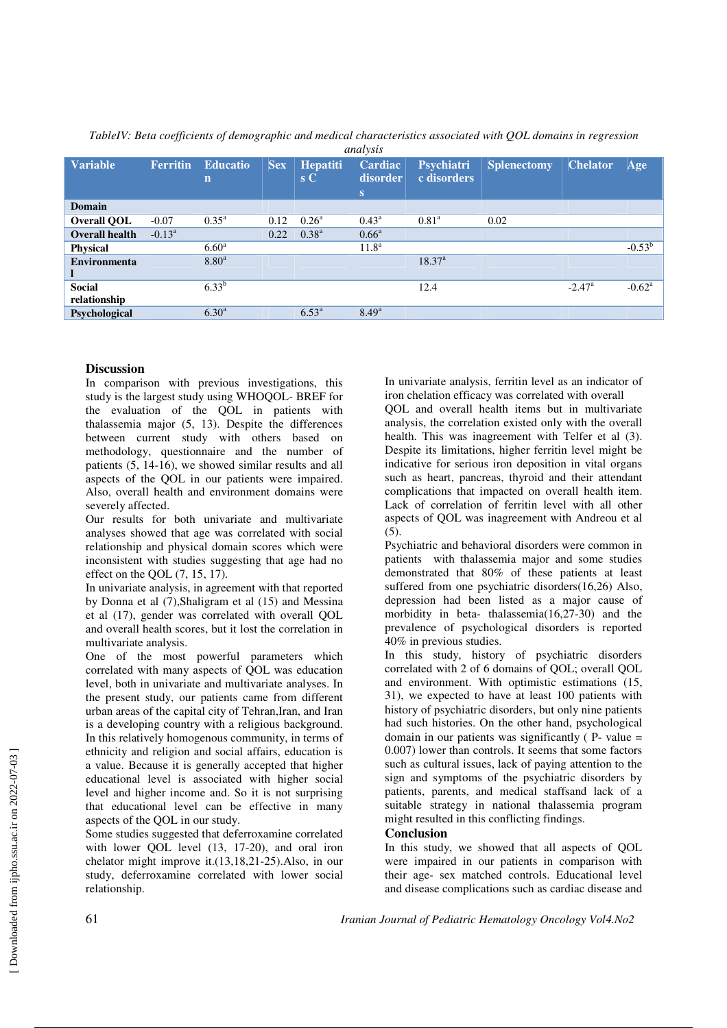|                       |                 |                 |            |                 | analysis          |                |                    |                      |                 |
|-----------------------|-----------------|-----------------|------------|-----------------|-------------------|----------------|--------------------|----------------------|-----------------|
| <b>Variable</b>       | <b>Ferritin</b> | <b>Educatio</b> | <b>Sex</b> | <b>Hepatiti</b> | Cardiac           | Psychiatri     | <b>Splenectomy</b> | <b>Chelator</b>      | Age             |
|                       |                 | $\mathbf n$     |            | $S_{\rm C}$     | disorder          | c disorders    |                    |                      |                 |
|                       |                 |                 |            |                 | IS.               |                |                    |                      |                 |
| <b>Domain</b>         |                 |                 |            |                 |                   |                |                    |                      |                 |
| Overall QOL           | $-0.07$         | $0.35^{\rm a}$  | 0.12       | $0.26^{\rm a}$  | $0.43^{\rm a}$    | $0.81^{\rm a}$ | 0.02               |                      |                 |
| <b>Overall health</b> | $-0.13^{\rm a}$ |                 | 0.22       | $0.38^{a}$      | $0.66^{\rm a}$    |                |                    |                      |                 |
| <b>Physical</b>       |                 | $6.60^{\rm a}$  |            |                 | 11.8 <sup>a</sup> |                |                    |                      | $-0.53^{b}$     |
| <b>Environmenta</b>   |                 | $8.80^{a}$      |            |                 |                   | $18.37^{a}$    |                    |                      |                 |
|                       |                 |                 |            |                 |                   |                |                    |                      |                 |
| <b>Social</b>         |                 | $6.33^{b}$      |            |                 |                   | 12.4           |                    | $-2.47$ <sup>a</sup> | $-0.62^{\rm a}$ |
| relationship          |                 |                 |            |                 |                   |                |                    |                      |                 |
| Psychological         |                 | $6.30^{a}$      |            | $6.53^{\rm a}$  | $8.49^{a}$        |                |                    |                      |                 |
|                       |                 |                 |            |                 |                   |                |                    |                      |                 |

*TableIV: Beta coefficients of demographic and medical characteristics associated with QOL domains in regression* 

## **Discussion**

In comparison with previous investigations, this study is the largest study using WHOQOL- BREF for the evaluation of the QOL in patients with thalassemia major (5, 13). Despite the differences between current study with others based on methodology, questionnaire and the number of patients (5, 14-16), we showed similar results and all aspects of the QOL in our patients were impaired. Also, overall health and environment domains were severely affected.

Our results for both univariate and multivariate analyses showed that age was correlated with social relationship and physical domain scores which were inconsistent with studies suggesting that age had no effect on the QOL (7, 15, 17).

In univariate analysis, in agreement with that reported by Donna et al (7),Shaligram et al (15) and Messina et al (17), gender was correlated with overall QOL and overall health scores, but it lost the correlation in multivariate analysis.

One of the most powerful parameters which correlated with many aspects of QOL was education level, both in univariate and multivariate analyses. In the present study, our patients came from different urban areas of the capital city of Tehran,Iran, and Iran is a developing country with a religious background. In this relatively homogenous community, in terms of ethnicity and religion and social affairs, education is a value. Because it is generally accepted that higher educational level is associated with higher social level and higher income and. So it is not surprising that educational level can be effective in many aspects of the QOL in our study.

Some studies suggested that deferroxamine correlated with lower QOL level (13, 17-20), and oral iron chelator might improve it.(13,18,21-25).Also, in our study, deferroxamine correlated with lower social relationship.

In univariate analysis, ferritin level as an indicator of iron chelation efficacy was correlated with overall

QOL and overall health items but in multivariate analysis, the correlation existed only with the overall health. This was inagreement with Telfer et al (3). Despite its limitations, higher ferritin level might be indicative for serious iron deposition in vital organs such as heart, pancreas, thyroid and their attendant complications that impacted on overall health item. Lack of correlation of ferritin level with all other aspects of QOL was inagreement with Andreou et al  $(5)$ .

Psychiatric and behavioral disorders were common in patients with thalassemia major and some studies demonstrated that 80% of these patients at least suffered from one psychiatric disorders(16,26) Also, depression had been listed as a major cause of morbidity in beta- thalassemia(16,27-30) and the prevalence of psychological disorders is reported 40% in previous studies.

In this study, history of psychiatric disorders correlated with 2 of 6 domains of QOL; overall QOL and environment. With optimistic estimations (15, 31), we expected to have at least 100 patients with history of psychiatric disorders, but only nine patients had such histories. On the other hand, psychological domain in our patients was significantly  $(P - value =$ 0.007) lower than controls. It seems that some factors such as cultural issues, lack of paying attention to the sign and symptoms of the psychiatric disorders by patients, parents, and medical staffsand lack of a suitable strategy in national thalassemia program might resulted in this conflicting findings.

## **Conclusion**

In this study, we showed that all aspects of QOL were impaired in our patients in comparison with their age- sex matched controls. Educational level and disease complications such as cardiac disease and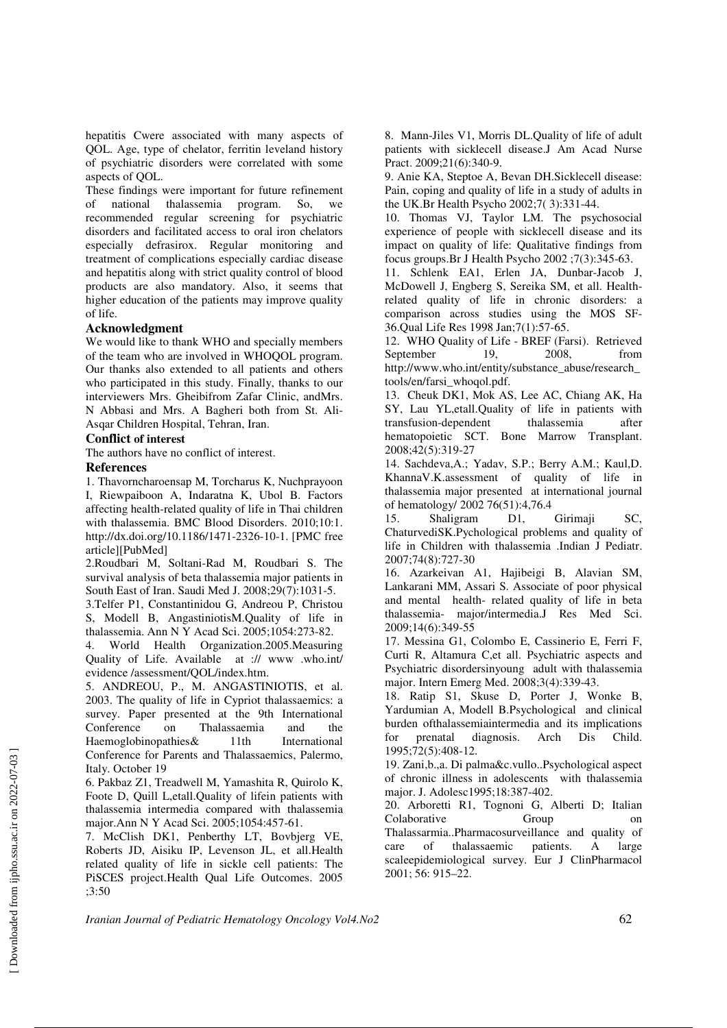hepatitis Cwere associated with many aspects of QOL. Age, type of chelator, ferritin leveland history of psychiatric disorders were correlated with some aspects of QOL.

These findings were important for future refinement of national thalassemia program. So, we recommended regular screening for psychiatric disorders and facilitated access to oral iron chelators especially defrasirox. Regular monitoring and treatment of complications especially cardiac disease and hepatitis along with strict quality control of blood products are also mandatory. Also, it seems that higher education of the patients may improve quality of life.

### **Acknowledgment**

We would like to thank WHO and specially members of the team who are involved in WHOQOL program. Our thanks also extended to all patients and others who participated in this study. Finally, thanks to our interviewers Mrs. Gheibifrom Zafar Clinic, andMrs. N Abbasi and Mrs. A Bagheri both from St. Ali-Asqar Children Hospital, Tehran, Iran.

### **Conflict of interest**

The authors have no conflict of interest.

#### **References**

1. Thavorncharoensap M, Torcharus K, Nuchprayoon I, Riewpaiboon A, Indaratna K, Ubol B. Factors affecting health-related quality of life in Thai children with thalassemia. BMC Blood Disorders. 2010;10:1. http://dx.doi.org/10.1186/1471-2326-10-1. [PMC free article][PubMed]

2.Roudbari M, Soltani-Rad M, Roudbari S. The survival analysis of beta thalassemia major patients in South East of Iran. Saudi Med J. 2008;29(7):1031-5.

3.Telfer P1, Constantinidou G, Andreou P, Christou S, Modell B, AngastiniotisM.Quality of life in thalassemia. Ann N Y Acad Sci. 2005;1054:273-82.

4. World Health Organization.2005.Measuring Quality of Life. Available at :// www .who.int/ evidence /assessment/QOL/index.htm.

5. ANDREOU, P., M. ANGASTINIOTIS, et al. 2003. The quality of life in Cypriot thalassaemics: a survey. Paper presented at the 9th International Conference on Thalassaemia and the on Thalassaemia and the variations of the Theorem and the Valentine of the Theorem and the United States of the Theorem and the United States of the Theorem and the United States of the United States of the United States Haemoglobinopathies  $&$ Conference for Parents and Thalassaemics, Palermo, Italy. October 19

6. Pakbaz Z1, Treadwell M, Yamashita R, Quirolo K, Foote D, Quill L,etall.Quality of lifein patients with thalassemia intermedia compared with thalassemia major.Ann N Y Acad Sci. 2005;1054:457-61.

7. McClish DK1, Penberthy LT, Bovbjerg VE, Roberts JD, Aisiku IP, Levenson JL, et all.Health related quality of life in sickle cell patients: The PiSCES project.Health Qual Life Outcomes. 2005 ;3:50

8. Mann-Jiles V1, Morris DL.Quality of life of adult patients with sicklecell disease.J Am Acad Nurse Pract. 2009;21(6):340-9.

9. Anie KA, Steptoe A, Bevan DH.Sicklecell disease: Pain, coping and quality of life in a study of adults in the UK.Br Health Psycho 2002;7( 3):331-44.

10. Thomas VJ, Taylor LM. The psychosocial experience of people with sicklecell disease and its impact on quality of life: Qualitative findings from focus groups.Br J Health Psycho 2002 ;7(3):345-63.

11. Schlenk EA1, Erlen JA, Dunbar-Jacob J, McDowell J, Engberg S, Sereika SM, et all. Healthrelated quality of life in chronic disorders: a comparison across studies using the MOS SF-36.Qual Life Res 1998 Jan;7(1):57-65.

12. WHO Quality of Life - BREF (Farsi). Retrieved September 19, 2008, from http://www.who.int/entity/substance\_abuse/research\_ tools/en/farsi\_whoqol.pdf.

13. Cheuk DK1, Mok AS, Lee AC, Chiang AK, Ha SY, Lau YL,etall.Quality of life in patients with transfusion-dependent thalassemia after hematopoietic SCT. Bone Marrow Transplant. 2008;42(5):319-27

14. Sachdeva,A.; Yadav, S.P.; Berry A.M.; Kaul,D. KhannaV.K.assessment of quality of life in thalassemia major presented at international journal of hematology/ 2002 76(51):4,76.4

15. Shaligram D1, Girimaji SC, ChaturvediSK.Pychological problems and quality of life in Children with thalassemia .Indian J Pediatr. 2007;74(8):727-30

16. Azarkeivan A1, Hajibeigi B, Alavian SM, Lankarani MM, Assari S. Associate of poor physical and mental health- related quality of life in beta thalassemia- major/intermedia.J Res Med Sci. 2009;14(6):349-55

17. Messina G1, Colombo E, Cassinerio E, Ferri F, Curti R, Altamura C,et all. Psychiatric aspects and Psychiatric disordersinyoung adult with thalassemia major. Intern Emerg Med. 2008;3(4):339-43.

18. Ratip S1, Skuse D, Porter J, Wonke B, Yardumian A, Modell B.Psychological and clinical burden ofthalassemiaintermedia and its implications for prenatal diagnosis. Arch Dis Child. 1995;72(5):408-12.

19. Zani,b.,a. Di palma&c.vullo..Psychological aspect of chronic illness in adolescents with thalassemia major. J. Adolesc1995;18:387-402.

20. Arboretti R1, Tognoni G, Alberti D; Italian Colaborative Group on Thalassarmia..Pharmacosurveillance and quality of care of thalassaemic patients. A large scaleepidemiological survey. Eur J ClinPharmacol 2001; 56: 915–22.

*Iranian Journal of Pediatric Hematology Oncology Vol4.No2* 62